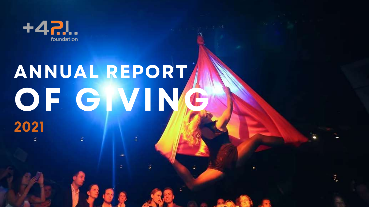

## **OF GIVING ANNUAL REPORT 2021**

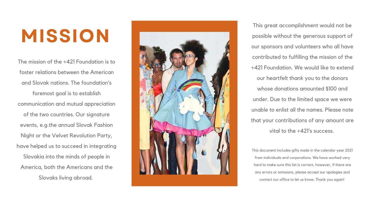### **MISSION**

The mission of the +421 Foundation is to foster relations between the American and Slovak nations. The foundation's foremost goal is to establish communication and mutual appreciation of the two countries. Our signature events, e.g.the annual Slovak Fashion Night or the Velvet Revolution Party, have helped us to succeed in integrating Slovakia into the minds of people in America, both the Americans and the Slovaks living abroa d. **MISSIO**



This great accomplishment would not be possible without the generous support of our sponsors and volunteers who all have contributed to fulfilling the mission of the +421 Foundation. We would like to extend our heartfelt thank you to the donors whose donations amounted \$100 and under. Due to the limited space we were unable to enlist all the names. Please note that your contributions of any amount are vital to the +421's success.

This document includes gifts made in the calendar year 2021 from individuals and corporations. We have worked very hard to make sure this list is correct, however, if there are any errors or omissions, please accept our apologies and contact our office to let us know. Thank you again!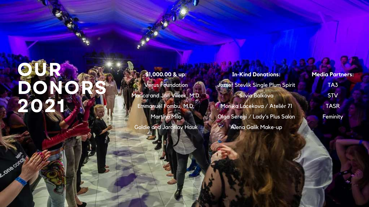# BOILER RE

Consconta

\$1,000.00 & up: Verus Foundation Marica and Jan Vilcek, M.D. Emmanuel Fombu, M.D. Martina Milo

Goldie and Jaroslay Hauk

**In-Kind Donations:** Jozsef Stevlik Single Plum Spirit Silvia Balkova Monika Lacekova / Ateliér 71 Olga Seregi / Lady's Plus Salon Alena Galik Make-up

**Media Partners:** TA3 **STV TASR** Feminity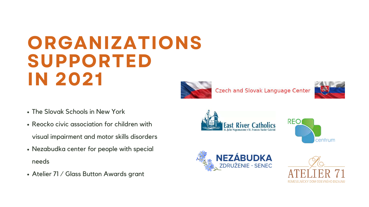- The Slovak Schools in New York
- Reocko civic association for children with visual impairment and motor skills disorders
- Nezabudka center for people with special needs
- Atelier 71 / Glass Button Awards grant







Czech and Slovak Language Center



**East River Cat** 



#### **NEZÁBUDKA**<br>ZDRUŽENIE - SENEC



### **ORGANIZATIONS SUPPORTED IN 2021**